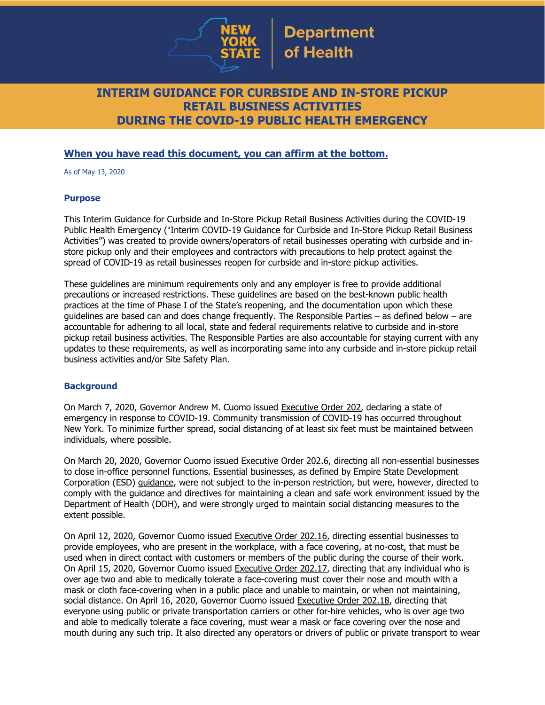

# **INTERIM GUIDANCE FOR CURBSIDE AND IN-STORE PICKUP RETAIL BUSINESS ACTIVITIES DURING THE COVID-19 PUBLIC HEALTH EMERGENCY**

## **When you have read this document, you can affirm at the bottom.**

As of May 13, 2020

### **Purpose**

This Interim Guidance for Curbside and In-Store Pickup Retail Business Activities during the COVID-19 Public Health Emergency ("Interim COVID-19 Guidance for Curbside and In-Store Pickup Retail Business Activities") was created to provide owners/operators of retail businesses operating with curbside and instore pickup only and their employees and contractors with precautions to help protect against the spread of COVID-19 as retail businesses reopen for curbside and in-store pickup activities.

These guidelines are minimum requirements only and any employer is free to provide additional precautions or increased restrictions. These guidelines are based on the best-known public health practices at the time of Phase I of the State's reopening, and the documentation upon which these guidelines are based can and does change frequently. The Responsible Parties – as defined below – are accountable for adhering to all local, state and federal requirements relative to curbside and in-store pickup retail business activities. The Responsible Parties are also accountable for staying current with any updates to these requirements, as well as incorporating same into any curbside and in-store pickup retail business activities and/or Site Safety Plan.

#### **Background**

On March 7, 2020, Governor Andrew M. Cuomo issued [Executive](https://www.governor.ny.gov/news/no-202-declaring-disaster-emergency-state-new-york) Order 202, declaring a state of emergency in response to COVID-19. Community transmission of COVID-19 has occurred throughout New York. To minimize further spread, social distancing of at least six feet must be maintained between individuals, where possible.

On March 20, 2020, Governor Cuomo issued [Executive](https://www.governor.ny.gov/news/no-2026-continuing-temporary-suspension-and-modification-laws-relating-disaster-emergency) Order 202.6, directing all non-essential businesses to close in-office personnel functions. Essential businesses, as defined by Empire State Development Corporation (ESD) [guidance,](https://esd.ny.gov/guidance-executive-order-2026) were not subject to the in-person restriction, but were, however, directed to comply with the guidance and directives for maintaining a clean and safe work environment issued by the Department of Health (DOH), and were strongly urged to maintain social distancing measures to the extent possible.

On April 12, 2020, Governor Cuomo issued [Executive](https://www.governor.ny.gov/news/no-20216-continuing-temporary-suspension-and-modification-laws-relating-disaster-emergency) Order 202.16, directing essential businesses to provide employees, who are present in the workplace, with a face covering, at no-cost, that must be used when in direct contact with customers or members of the public during the course of their work. On April 15, 2020, Governor Cuomo issued [Executive](https://www.governor.ny.gov/news/no-20217-continuing-temporary-suspension-and-modification-laws-relating-disaster-emergency) Order 202.17, directing that any individual who is over age two and able to medically tolerate a face-covering must cover their nose and mouth with a mask or cloth face-covering when in a public place and unable to maintain, or when not maintaining, social distance. On April 16, 2020, Governor Cuomo issued [Executive](https://www.governor.ny.gov/news/no-20218-continuing-temporary-suspension-and-modification-laws-relating-disaster-emergency) Order 202.18, directing that everyone using public or private transportation carriers or other for-hire vehicles, who is over age two and able to medically tolerate a face covering, must wear a mask or face covering over the nose and mouth during any such trip. It also directed any operators or drivers of public or private transport to wear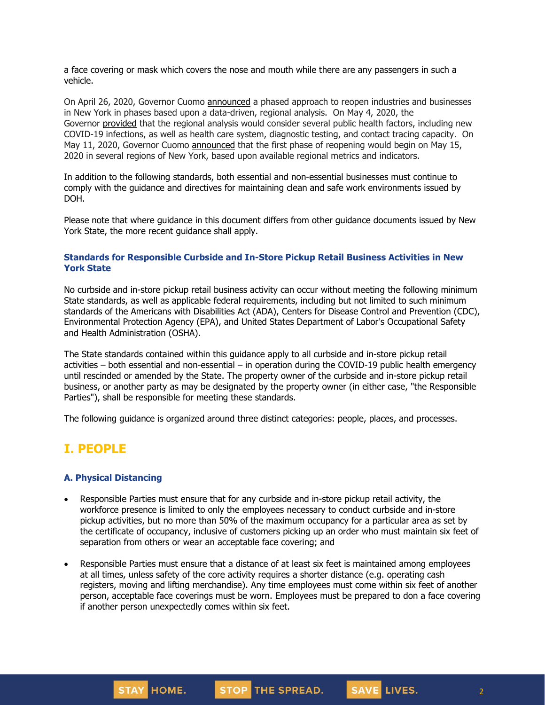a face covering or mask which covers the nose and mouth while there are any passengers in such a vehicle.

On April 26, 2020, Governor Cuomo [announced](https://www.governor.ny.gov/news/amid-ongoing-covid-19-pandemic-governor-cuomo-outlines-phased-plan-re-open-new-york-starting) a phased approach to reopen industries and businesses in New York in phases based upon a data-driven, regional analysis. On May 4, 2020, the Governor [provided](https://www.governor.ny.gov/news/amid-ongoing-covid-19-pandemic-governor-cuomo-outlines-additional-guidelines-when-regions-can) that the regional analysis would consider several public health factors, including new COVID-19 infections, as well as health care system, diagnostic testing, and contact tracing capacity. On May 11, 2020, Governor Cuomo [announced](https://www.governor.ny.gov/news/amid-ongoing-covid-19-pandemic-governor-cuomo-announces-three-regions-new-york-state-ready) that the first phase of reopening would begin on May 15, 2020 in several regions of New York, based upon available regional metrics and indicators.

In addition to the following standards, both essential and non-essential businesses must continue to comply with the guidance and directives for maintaining clean and safe work environments issued by DOH.

Please note that where guidance in this document differs from other guidance documents issued by New York State, the more recent guidance shall apply.

### **Standards for Responsible Curbside and In-Store Pickup Retail Business Activities in New York State**

No curbside and in-store pickup retail business activity can occur without meeting the following minimum State standards, as well as applicable federal requirements, including but not limited to such minimum standards of the Americans with Disabilities Act (ADA), Centers for Disease Control and Prevention (CDC), Environmental Protection Agency (EPA), and United States Department of Labor's Occupational Safety and Health Administration (OSHA).

The State standards contained within this guidance apply to all curbside and in-store pickup retail activities – both essential and non-essential – in operation during the COVID-19 public health emergency until rescinded or amended by the State. The property owner of the curbside and in-store pickup retail business, or another party as may be designated by the property owner (in either case, "the Responsible Parties"), shall be responsible for meeting these standards.

The following guidance is organized around three distinct categories: people, places, and processes.

## **I. PEOPLE**

#### **A. Physical Distancing**

- Responsible Parties must ensure that for any curbside and in-store pickup retail activity, the workforce presence is limited to only the employees necessary to conduct curbside and in-store pickup activities, but no more than 50% of the maximum occupancy for a particular area as set by the certificate of occupancy, inclusive of customers picking up an order who must maintain six feet of separation from others or wear an acceptable face covering; and
- Responsible Parties must ensure that a distance of at least six feet is maintained among employees at all times, unless safety of the core activity requires a shorter distance (e.g. operating cash registers, moving and lifting merchandise). Any time employees must come within six feet of another person, acceptable face coverings must be worn. Employees must be prepared to don a face covering if another person unexpectedly comes within six feet.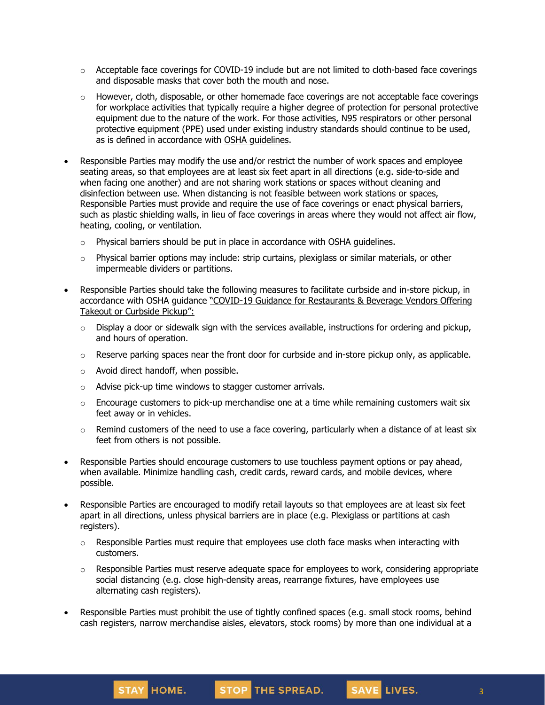- $\circ$  Acceptable face coverings for COVID-19 include but are not limited to cloth-based face coverings and disposable masks that cover both the mouth and nose.
- $\circ$  However, cloth, disposable, or other homemade face coverings are not acceptable face coverings for workplace activities that typically require a higher degree of protection for personal protective equipment due to the nature of the work. For those activities, N95 respirators or other personal protective equipment (PPE) used under existing industry standards should continue to be used, as is defined in accordance with OSHA [guidelines.](https://www.osha.gov/SLTC/personalprotectiveequipment/)
- Responsible Parties may modify the use and/or restrict the number of work spaces and employee seating areas, so that employees are at least six feet apart in all directions (e.g. side-to-side and when facing one another) and are not sharing work stations or spaces without cleaning and disinfection between use. When distancing is not feasible between work stations or spaces, Responsible Parties must provide and require the use of face coverings or enact physical barriers, such as plastic shielding walls, in lieu of face coverings in areas where they would not affect air flow, heating, cooling, or ventilation.
	- $\circ$  Physical barriers should be put in place in accordance with OSHA [guidelines.](https://www.osha.gov/Publications/OSHA3990.pdf)
	- $\circ$  Physical barrier options may include: strip curtains, plexiglass or similar materials, or other impermeable dividers or partitions.
- Responsible Parties should take the following measures to facilitate curbside and in-store pickup, in accordance with OSHA guidance "COVID-19 Guidance for [Restaurants](https://www.osha.gov/Publications/OSHA4017.pdf) & Beverage Vendors Offering Takeout or [Curbside](https://www.osha.gov/Publications/OSHA4017.pdf) Pickup":
	- $\circ$  Display a door or sidewalk sign with the services available, instructions for ordering and pickup, and hours of operation.
	- $\circ$  Reserve parking spaces near the front door for curbside and in-store pickup only, as applicable.
	- o Avoid direct handoff, when possible.

STAY HOME.

- o Advise pick-up time windows to stagger customer arrivals.
- $\circ$  Encourage customers to pick-up merchandise one at a time while remaining customers wait six feet away or in vehicles.
- $\circ$  Remind customers of the need to use a face covering, particularly when a distance of at least six feet from others is not possible.
- Responsible Parties should encourage customers to use touchless payment options or pay ahead, when available. Minimize handling cash, credit cards, reward cards, and mobile devices, where possible.
- Responsible Parties are encouraged to modify retail layouts so that employees are at least six feet apart in all directions, unless physical barriers are in place (e.g. Plexiglass or partitions at cash registers).
	- $\circ$  Responsible Parties must require that employees use cloth face masks when interacting with customers.
	- $\circ$  Responsible Parties must reserve adequate space for employees to work, considering appropriate social distancing (e.g. close high-density areas, rearrange fixtures, have employees use alternating cash registers).

3

SAVE LIVES.

Responsible Parties must prohibit the use of tightly confined spaces (e.g. small stock rooms, behind cash registers, narrow merchandise aisles, elevators, stock rooms) by more than one individual at a

STOP THE SPREAD.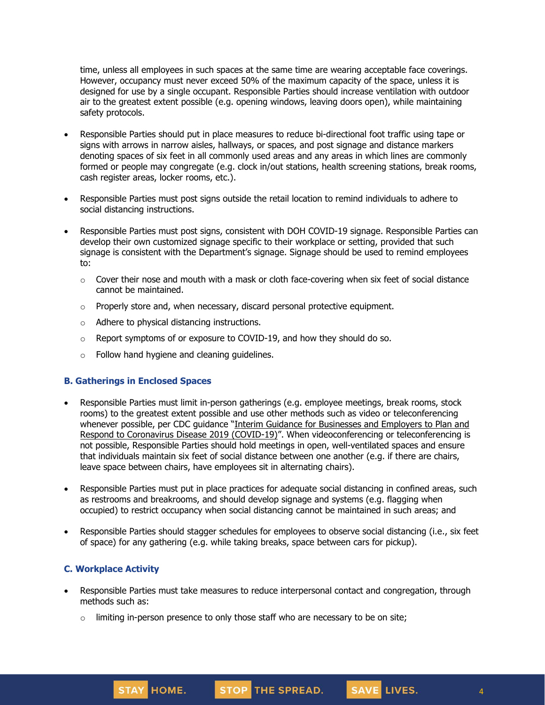time, unless all employees in such spaces at the same time are wearing acceptable face coverings. However, occupancy must never exceed 50% of the maximum capacity of the space, unless it is designed for use by a single occupant. Responsible Parties should increase ventilation with outdoor air to the greatest extent possible (e.g. opening windows, leaving doors open), while maintaining safety protocols.

- Responsible Parties should put in place measures to reduce bi-directional foot traffic using tape or signs with arrows in narrow aisles, hallways, or spaces, and post signage and distance markers denoting spaces of six feet in all commonly used areas and any areas in which lines are commonly formed or people may congregate (e.g. clock in/out stations, health screening stations, break rooms, cash register areas, locker rooms, etc.).
- Responsible Parties must post signs outside the retail location to remind individuals to adhere to social distancing instructions.
- Responsible Parties must post signs, consistent with DOH COVID-19 signage. Responsible Parties can develop their own customized signage specific to their workplace or setting, provided that such signage is consistent with the Department's signage. Signage should be used to remind employees to:
	- $\circ$  Cover their nose and mouth with a mask or cloth face-covering when six feet of social distance cannot be maintained.
	- $\circ$  Properly store and, when necessary, discard personal protective equipment.
	- o Adhere to physical distancing instructions.
	- $\circ$  Report symptoms of or exposure to COVID-19, and how they should do so.
	- o Follow hand hygiene and cleaning guidelines.

## **B. Gatherings in Enclosed Spaces**

- Responsible Parties must limit in-person gatherings (e.g. employee meetings, break rooms, stock rooms) to the greatest extent possible and use other methods such as video or teleconferencing whenever possible, per CDC guidance "Interim Guidance for [Businesses](https://www.cdc.gov/coronavirus/2019-ncov/community/guidance-business-response.html) and Employers to Plan and Respond to [Coronavirus](https://www.cdc.gov/coronavirus/2019-ncov/community/guidance-business-response.html) Disease 2019 (COVID-19)". When videoconferencing or teleconferencing is not possible, Responsible Parties should hold meetings in open, well-ventilated spaces and ensure that individuals maintain six feet of social distance between one another (e.g. if there are chairs, leave space between chairs, have employees sit in alternating chairs).
- Responsible Parties must put in place practices for adequate social distancing in confined areas, such as restrooms and breakrooms, and should develop signage and systems (e.g. flagging when occupied) to restrict occupancy when social distancing cannot be maintained in such areas; and
- Responsible Parties should stagger schedules for employees to observe social distancing (i.e., six feet of space) for any gathering (e.g. while taking breaks, space between cars for pickup).

## **C. Workplace Activity**

- Responsible Parties must take measures to reduce interpersonal contact and congregation, through methods such as:
	- $\circ$  limiting in-person presence to only those staff who are necessary to be on site;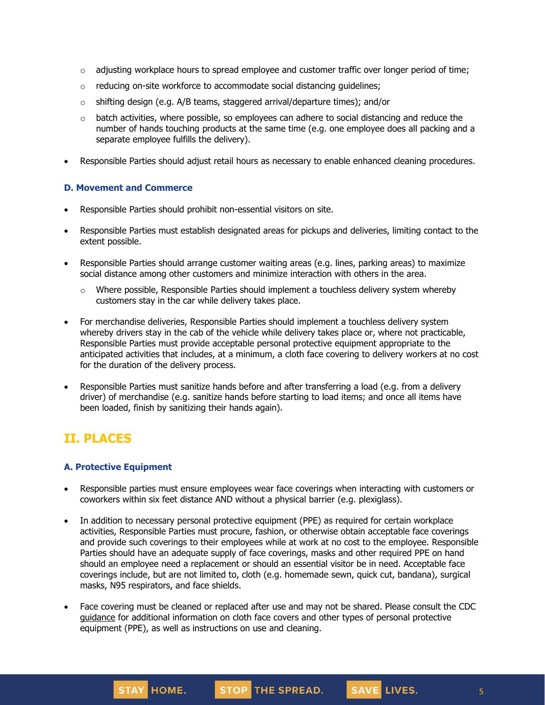- $\circ$  adjusting workplace hours to spread employee and customer traffic over longer period of time;
- o reducing on-site workforce to accommodate social distancing guidelines;
- $\circ$  shifting design (e.g. A/B teams, staggered arrival/departure times); and/or
- $\circ$  batch activities, where possible, so employees can adhere to social distancing and reduce the number of hands touching products at the same time (e.g. one employee does all packing and a separate employee fulfills the delivery).
- Responsible Parties should adjust retail hours as necessary to enable enhanced cleaning procedures.

### **D. Movement and Commerce**

- Responsible Parties should prohibit non-essential visitors on site.
- Responsible Parties must establish designated areas for pickups and deliveries, limiting contact to the extent possible.
- Responsible Parties should arrange customer waiting areas (e.g. lines, parking areas) to maximize social distance among other customers and minimize interaction with others in the area.
	- $\circ$  Where possible, Responsible Parties should implement a touchless delivery system whereby customers stay in the car while delivery takes place.
- For merchandise deliveries, Responsible Parties should implement a touchless delivery system whereby drivers stay in the cab of the vehicle while delivery takes place or, where not practicable, Responsible Parties must provide acceptable personal protective equipment appropriate to the anticipated activities that includes, at a minimum, a cloth face covering to delivery workers at no cost for the duration of the delivery process.
- Responsible Parties must sanitize hands before and after transferring a load (e.g. from a delivery driver) of merchandise (e.g. sanitize hands before starting to load items; and once all items have been loaded, finish by sanitizing their hands again).

## **II. PLACES**

## **A. Protective Equipment**

- Responsible parties must ensure employees wear face coverings when interacting with customers or coworkers within six feet distance AND without a physical barrier (e.g. plexiglass).
- In addition to necessary personal protective equipment (PPE) as required for certain workplace activities, Responsible Parties must procure, fashion, or otherwise obtain acceptable face coverings and provide such coverings to their employees while at work at no cost to the employee. Responsible Parties should have an adequate supply of face coverings, masks and other required PPE on hand should an employee need a replacement or should an essential visitor be in need. Acceptable face coverings include, but are not limited to, cloth (e.g. homemade sewn, quick cut, bandana), surgical masks, N95 respirators, and face shields.
- Face covering must be cleaned or replaced after use and may not be shared. Please consult the CDC [guidance](https://www.cdc.gov/coronavirus/2019-ncov/community/guidance-business-response.html) for additional information on cloth face covers and other types of personal protective equipment (PPE), as well as instructions on use and cleaning.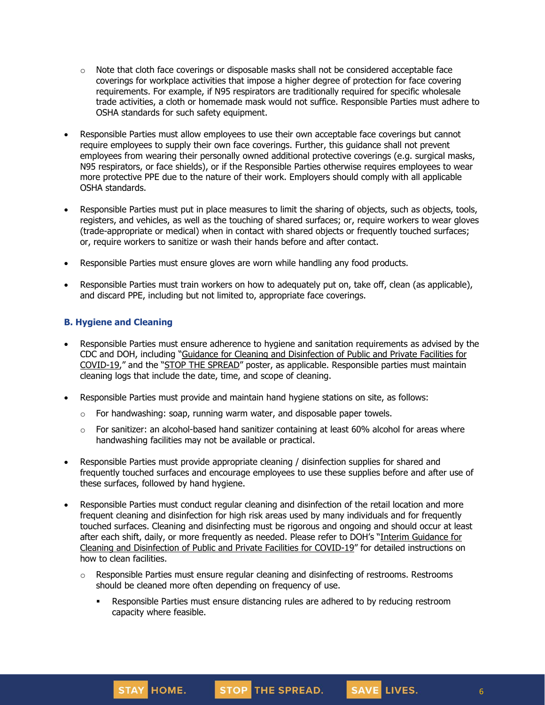- $\circ$  Note that cloth face coverings or disposable masks shall not be considered acceptable face coverings for workplace activities that impose a higher degree of protection for face covering requirements. For example, if N95 respirators are traditionally required for specific wholesale trade activities, a cloth or homemade mask would not suffice. Responsible Parties must adhere to OSHA standards for such safety equipment.
- Responsible Parties must allow employees to use their own acceptable face coverings but cannot require employees to supply their own face coverings. Further, this guidance shall not prevent employees from wearing their personally owned additional protective coverings (e.g. surgical masks, N95 respirators, or face shields), or if the Responsible Parties otherwise requires employees to wear more protective PPE due to the nature of their work. Employers should comply with all applicable OSHA standards.
- Responsible Parties must put in place measures to limit the sharing of objects, such as objects, tools, registers, and vehicles, as well as the touching of shared surfaces; or, require workers to wear gloves (trade-appropriate or medical) when in contact with shared objects or frequently touched surfaces; or, require workers to sanitize or wash their hands before and after contact.
- Responsible Parties must ensure gloves are worn while handling any food products.
- Responsible Parties must train workers on how to adequately put on, take off, clean (as applicable), and discard PPE, including but not limited to, appropriate face coverings.

## **B. Hygiene and Cleaning**

- Responsible Parties must ensure adherence to hygiene and sanitation requirements as advised by the CDC and DOH, including "Guidance for Cleaning and [Disinfection](https://coronavirus.health.ny.gov/system/files/documents/2020/03/cleaning_guidance_general_building.pdf) of Public and Private Facilities for [COVID-19](https://coronavirus.health.ny.gov/system/files/documents/2020/03/cleaning_guidance_general_building.pdf)," and the "STOP THE [SPREAD](https://coronavirus.health.ny.gov/system/files/documents/2020/04/13067_coronavirus_protectyourself_poster_042020.pdf)" poster, as applicable. Responsible parties must maintain cleaning logs that include the date, time, and scope of cleaning.
- Responsible Parties must provide and maintain hand hygiene stations on site, as follows:
	- $\circ$  For handwashing: soap, running warm water, and disposable paper towels.
	- $\circ$  For sanitizer: an alcohol-based hand sanitizer containing at least 60% alcohol for areas where handwashing facilities may not be available or practical.
- Responsible Parties must provide appropriate cleaning / disinfection supplies for shared and frequently touched surfaces and encourage employees to use these supplies before and after use of these surfaces, followed by hand hygiene.
- Responsible Parties must conduct regular cleaning and disinfection of the retail location and more frequent cleaning and disinfection for high risk areas used by many individuals and for frequently touched surfaces. Cleaning and disinfecting must be rigorous and ongoing and should occur at least after each shift, daily, or more frequently as needed. Please refer to DOH's "Interim [Guidance](https://coronavirus.health.ny.gov/system/files/documents/2020/03/cleaning_guidance_general_building.pdf) for Cleaning and [Disinfection](https://coronavirus.health.ny.gov/system/files/documents/2020/03/cleaning_guidance_general_building.pdf) of Public and Private Facilities for COVID-19" for detailed instructions on how to clean facilities.
	- $\circ$  Responsible Parties must ensure regular cleaning and disinfecting of restrooms. Restrooms should be cleaned more often depending on frequency of use.
		- **•** Responsible Parties must ensure distancing rules are adhered to by reducing restroom capacity where feasible.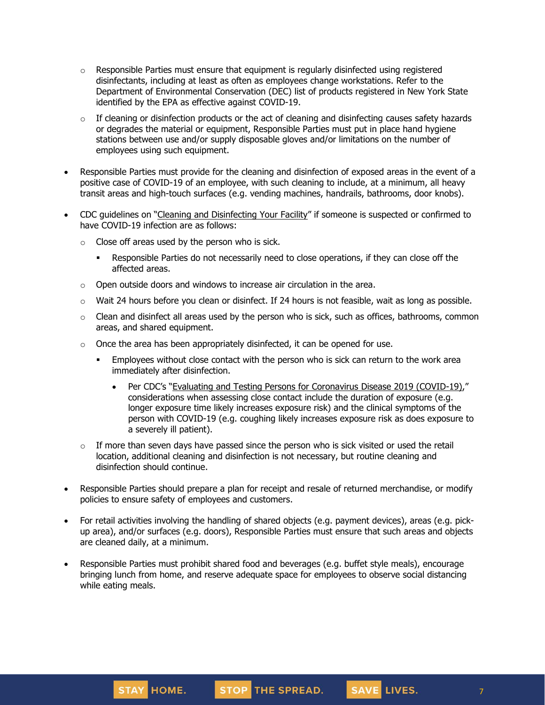- $\circ$  Responsible Parties must ensure that equipment is regularly disinfected using registered disinfectants, including at least as often as employees change workstations. Refer to the Department of Environmental Conservation (DEC) list of [products](http://www.dec.ny.gov/docs/materials_minerals_pdf/covid19.pdf) registered in New York State identified by the EPA as effective against COVID-19.
- $\circ$  If cleaning or disinfection products or the act of cleaning and disinfecting causes safety hazards or degrades the material or equipment, Responsible Parties must put in place hand hygiene stations between use and/or supply disposable gloves and/or limitations on the number of employees using such equipment.
- Responsible Parties must provide for the cleaning and disinfection of exposed areas in the event of a positive case of COVID-19 of an employee, with such cleaning to include, at a minimum, all heavy transit areas and high-touch surfaces (e.g. vending machines, handrails, bathrooms, door knobs).
- CDC guidelines on "Cleaning and [Disinfecting](https://www.cdc.gov/coronavirus/2019-ncov/community/disinfecting-building-facility.html) Your Facility" if someone is suspected or confirmed to have COVID-19 infection are as follows:
	- $\circ$  Close off areas used by the person who is sick.
		- **•** Responsible Parties do not necessarily need to close operations, if they can close off the affected areas.
	- o Open outside doors and windows to increase air circulation in the area.
	- $\circ$  Wait 24 hours before you clean or disinfect. If 24 hours is not feasible, wait as long as possible.
	- $\circ$  Clean and disinfect all areas used by the person who is sick, such as offices, bathrooms, common areas, and shared equipment.
	- $\circ$  Once the area has been appropriately disinfected, it can be opened for use.
		- Employees without close contact with the person who is sick can return to the work area immediately after disinfection.
			- Per CDC's "Evaluating and Testing Persons for [Coronavirus](https://www.cdc.gov/coronavirus/2019-ncov/hcp/clinical-criteria.html) Disease 2019 (COVID-19)," considerations when assessing close contact include the duration of exposure (e.g. longer exposure time likely increases exposure risk) and the clinical symptoms of the person with COVID-19 (e.g. coughing likely increases exposure risk as does exposure to a severely ill patient).
	- $\circ$  If more than seven days have passed since the person who is sick visited or used the retail location, additional cleaning and disinfection is not necessary, but routine cleaning and disinfection should continue.
- Responsible Parties should prepare a plan for receipt and resale of returned merchandise, or modify policies to ensure safety of employees and customers.
- For retail activities involving the handling of shared objects (e.g. payment devices), areas (e.g. pickup area), and/or surfaces (e.g. doors), Responsible Parties must ensure that such areas and objects are cleaned daily, at a minimum.
- Responsible Parties must prohibit shared food and beverages (e.g. buffet style meals), encourage bringing lunch from home, and reserve adequate space for employees to observe social distancing while eating meals.



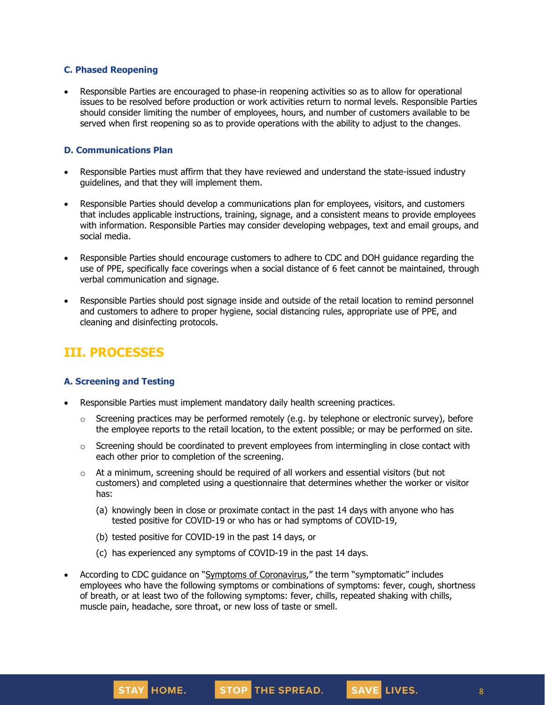### **C. Phased Reopening**

• Responsible Parties are encouraged to phase-in reopening activities so as to allow for operational issues to be resolved before production or work activities return to normal levels. Responsible Parties should consider limiting the number of employees, hours, and number of customers available to be served when first reopening so as to provide operations with the ability to adjust to the changes.

#### **D. Communications Plan**

- Responsible Parties must affirm that they have reviewed and understand the state-issued industry guidelines, and that they will implement them.
- Responsible Parties should develop a communications plan for employees, visitors, and customers that includes applicable instructions, training, signage, and a consistent means to provide employees with information. Responsible Parties may consider developing webpages, text and email groups, and social media.
- Responsible Parties should encourage customers to adhere to CDC and DOH guidance regarding the use of PPE, specifically face coverings when a social distance of 6 feet cannot be maintained, through verbal communication and signage.
- Responsible Parties should post signage inside and outside of the retail location to remind personnel and customers to adhere to proper hygiene, social distancing rules, appropriate use of PPE, and cleaning and disinfecting protocols.

# **III. PROCESSES**

## **A. Screening and Testing**

- Responsible Parties must implement mandatory daily health screening practices.
	- $\circ$  Screening practices may be performed remotely (e.g. by telephone or electronic survey), before the employee reports to the retail location, to the extent possible; or may be performed on site.
	- o Screening should be coordinated to prevent employees from intermingling in close contact with each other prior to completion of the screening.
	- $\circ$  At a minimum, screening should be required of all workers and essential visitors (but not customers) and completed using a questionnaire that determines whether the worker or visitor has:
		- (a) knowingly been in close or proximate contact in the past 14 days with anyone who has tested positive for COVID-19 or who has or had symptoms of COVID-19,
		- (b) tested positive for COVID-19 in the past 14 days, or
		- (c) has experienced any symptoms of COVID-19 in the past 14 days.
- According to CDC guidance on "Symptoms of [Coronavirus](https://www.cdc.gov/coronavirus/2019-ncov/symptoms-testing/symptoms.html)," the term "symptomatic" includes employees who have the following symptoms or combinations of symptoms: fever, cough, shortness of breath, or at least two of the following symptoms: fever, chills, repeated shaking with chills, muscle pain, headache, sore throat, or new loss of taste or smell.



SAVE LIVES.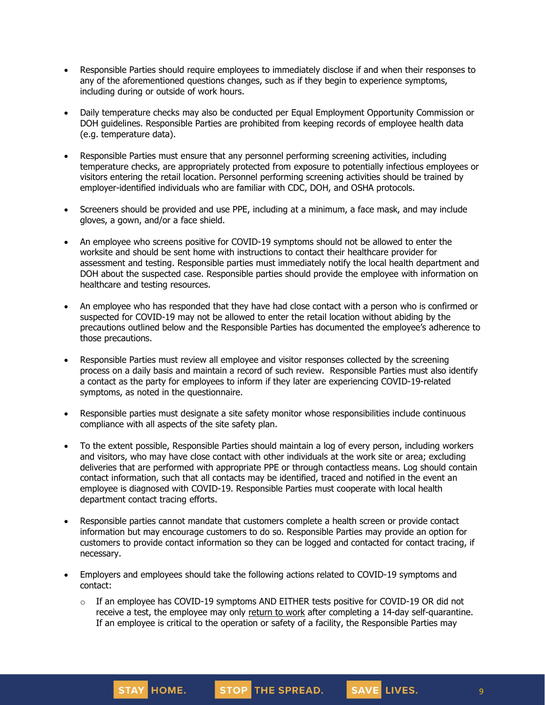- Responsible Parties should require employees to immediately disclose if and when their responses to any of the aforementioned questions changes, such as if they begin to experience symptoms, including during or outside of work hours.
- Daily temperature checks may also be conducted per Equal Employment Opportunity Commission or DOH guidelines. Responsible Parties are prohibited from keeping records of employee health data (e.g. temperature data).
- Responsible Parties must ensure that any personnel performing screening activities, including temperature checks, are appropriately protected from exposure to potentially infectious employees or visitors entering the retail location. Personnel performing screening activities should be trained by employer-identified individuals who are familiar with CDC, DOH, and OSHA protocols.
- Screeners should be provided and use PPE, including at a minimum, a face mask, and may include gloves, a gown, and/or a face shield.
- An employee who screens positive for COVID-19 symptoms should not be allowed to enter the worksite and should be sent home with instructions to contact their healthcare provider for assessment and testing. Responsible parties must immediately notify the local health department and DOH about the suspected case. Responsible parties should provide the employee with information on healthcare and testing resources.
- An employee who has responded that they have had close contact with a person who is confirmed or suspected for COVID-19 may not be allowed to enter the retail location without abiding by the precautions outlined below and the Responsible Parties has documented the employee's adherence to those precautions.
- Responsible Parties must review all employee and visitor responses collected by the screening process on a daily basis and maintain a record of such review. Responsible Parties must also identify a contact as the party for employees to inform if they later are experiencing COVID-19-related symptoms, as noted in the questionnaire.
- Responsible parties must designate a site safety monitor whose responsibilities include continuous compliance with all aspects of the site safety plan.
- To the extent possible, Responsible Parties should maintain a log of every person, including workers and visitors, who may have close contact with other individuals at the work site or area; excluding deliveries that are performed with appropriate PPE or through contactless means. Log should contain contact information, such that all contacts may be identified, traced and notified in the event an employee is diagnosed with COVID-19. Responsible Parties must cooperate with local health department contact tracing efforts.
- Responsible parties cannot mandate that customers complete a health screen or provide contact information but may encourage customers to do so. Responsible Parties may provide an option for customers to provide contact information so they can be logged and contacted for contact tracing, if necessary.
- Employers and employees should take the following actions related to COVID-19 symptoms and contact:
	- $\circ$  If an employee has COVID-19 symptoms AND EITHER tests positive for COVID-19 OR did not receive a test, the employee may only [return](https://www.cdc.gov/coronavirus/2019-ncov/hcp/return-to-work.html) to work after completing a 14-day self-quarantine. If an employee is critical to the operation or safety of a facility, the Responsible Parties may

9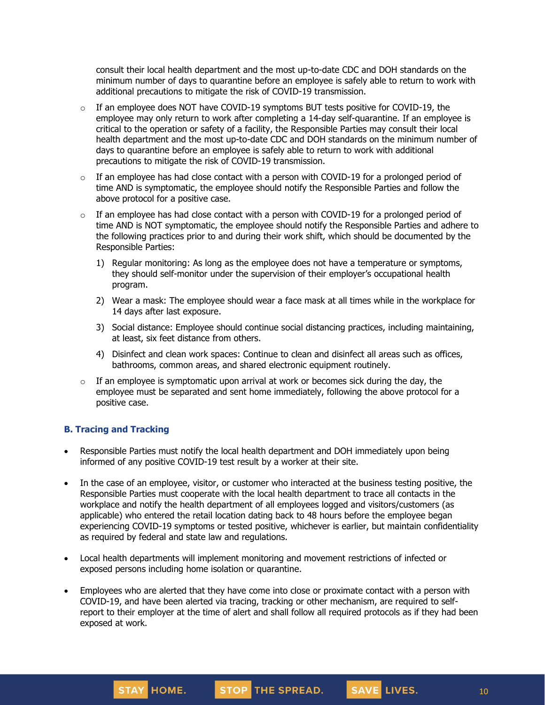consult their local health department and the most up-to-date CDC and DOH standards on the minimum number of days to quarantine before an employee is safely able to return to work with additional precautions to mitigate the risk of COVID-19 transmission.

- $\circ$  If an employee does NOT have COVID-19 symptoms BUT tests positive for COVID-19, the employee may only return to work after completing a 14-day self-quarantine. If an employee is critical to the operation or safety of a facility, the Responsible Parties may consult their local health department and the most up-to-date CDC and DOH standards on the minimum number of days to quarantine before an employee is safely able to return to work with additional precautions to mitigate the risk of COVID-19 transmission.
- $\circ$  If an employee has had close contact with a person with COVID-19 for a prolonged period of time AND is symptomatic, the employee should notify the Responsible Parties and follow the above protocol for a positive case.
- $\circ$  If an employee has had close contact with a person with COVID-19 for a prolonged period of time AND is NOT symptomatic, the employee should notify the Responsible Parties and [adhere](https://www.cdc.gov/coronavirus/2019-ncov/community/critical-workers/implementing-safety-practices.html) to the [following](https://www.cdc.gov/coronavirus/2019-ncov/community/critical-workers/implementing-safety-practices.html) practices prior to and during their work shift, which should be documented by the Responsible Parties:
	- 1) Regular monitoring: As long as the employee does not have a temperature or symptoms, they should self-monitor under the supervision of their employer's occupational health program.
	- 2) Wear a mask: The employee should wear a face mask at all times while in the workplace for 14 days after last exposure.
	- 3) Social distance: Employee should continue social distancing practices, including maintaining, at least, six feet distance from others.
	- 4) Disinfect and clean work spaces: Continue to clean and disinfect all areas such as offices, bathrooms, common areas, and shared electronic equipment routinely.
- $\circ$  If an employee is symptomatic upon arrival at work or becomes sick during the day, the employee must be separated and sent home immediately, following the above protocol for a positive case.

## **B. Tracing and Tracking**

- Responsible Parties must notify the local health department and DOH immediately upon being informed of any positive COVID-19 test result by a worker at their site.
- In the case of an employee, visitor, or customer who interacted at the business testing positive, the Responsible Parties must cooperate with the local health department to trace all contacts in the workplace and notify the health department of all employees logged and visitors/customers (as applicable) who entered the retail location dating back to 48 hours before the employee began experiencing COVID-19 symptoms or tested positive, whichever is earlier, but maintain confidentiality as required by federal and state law and regulations.
- Local health departments will implement monitoring and movement restrictions of infected or exposed persons including home isolation or quarantine.
- Employees who are alerted that they have come into close or proximate contact with a person with COVID-19, and have been alerted via tracing, tracking or other mechanism, are required to selfreport to their employer at the time of alert and shall follow all required protocols as if they had been exposed at work.



SAVE LIVES.